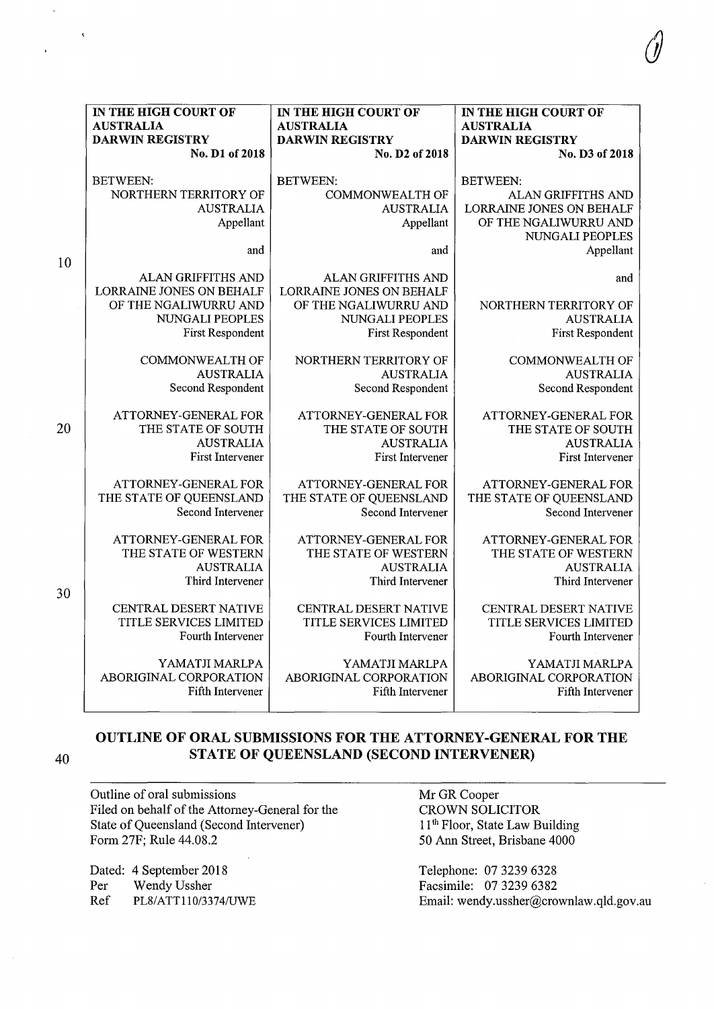|    | IN THE HIGH COURT OF                           | IN THE HIGH COURT OF                                  | IN THE HIGH COURT OF         |
|----|------------------------------------------------|-------------------------------------------------------|------------------------------|
|    | <b>AUSTRALIA</b>                               | <b>AUSTRALIA</b>                                      | <b>AUSTRALIA</b>             |
|    | <b>DARWIN REGISTRY</b><br>No. D1 of 2018       | <b>DARWIN REGISTRY</b><br>No. D2 of 2018              | <b>DARWIN REGISTRY</b>       |
|    |                                                |                                                       | No. D3 of 2018               |
|    | <b>BETWEEN:</b>                                | <b>BETWEEN:</b>                                       | <b>BETWEEN:</b>              |
|    | NORTHERN TERRITORY OF                          | <b>COMMONWEALTH OF</b>                                | ALAN GRIFFITHS AND           |
|    | <b>AUSTRALIA</b>                               | <b>AUSTRALIA</b>                                      | LORRAINE JONES ON BEHALF     |
|    | Appellant                                      | Appellant                                             | OF THE NGALIWURRU AND        |
|    |                                                |                                                       | NUNGALI PEOPLES              |
|    | and                                            | and                                                   | Appellant                    |
| 10 |                                                |                                                       |                              |
|    | ALAN GRIFFITHS AND<br>LORRAINE JONES ON BEHALF | ALAN GRIFFITHS AND<br><b>LORRAINE JONES ON BEHALF</b> | and                          |
|    | OF THE NGALIWURRU AND                          | OF THE NGALIWURRU AND                                 | NORTHERN TERRITORY OF        |
|    | NUNGALI PEOPLES                                | NUNGALI PEOPLES                                       | <b>AUSTRALIA</b>             |
|    | First Respondent                               | <b>First Respondent</b>                               | <b>First Respondent</b>      |
|    |                                                |                                                       |                              |
|    | <b>COMMONWEALTH OF</b>                         | NORTHERN TERRITORY OF                                 | <b>COMMONWEALTH OF</b>       |
|    | <b>AUSTRALIA</b>                               | <b>AUSTRALIA</b>                                      | <b>AUSTRALIA</b>             |
|    | Second Respondent                              | Second Respondent                                     | Second Respondent            |
|    | ATTORNEY-GENERAL FOR                           | ATTORNEY-GENERAL FOR                                  | ATTORNEY-GENERAL FOR         |
| 20 | THE STATE OF SOUTH                             | THE STATE OF SOUTH                                    | THE STATE OF SOUTH           |
|    | <b>AUSTRALIA</b>                               | <b>AUSTRALIA</b>                                      | <b>AUSTRALIA</b>             |
|    | <b>First Intervener</b>                        | <b>First Intervener</b>                               | <b>First Intervener</b>      |
|    | ATTORNEY-GENERAL FOR                           | ATTORNEY-GENERAL FOR                                  | ATTORNEY-GENERAL FOR         |
|    | THE STATE OF QUEENSLAND                        | THE STATE OF QUEENSLAND                               | THE STATE OF QUEENSLAND      |
|    | Second Intervener                              | Second Intervener                                     | Second Intervener            |
|    |                                                |                                                       |                              |
|    | ATTORNEY-GENERAL FOR                           | ATTORNEY-GENERAL FOR                                  | ATTORNEY-GENERAL FOR         |
|    | THE STATE OF WESTERN                           | THE STATE OF WESTERN                                  | THE STATE OF WESTERN         |
|    | <b>AUSTRALIA</b>                               | <b>AUSTRALIA</b>                                      | <b>AUSTRALIA</b>             |
| 30 | Third Intervener                               | Third Intervener                                      | Third Intervener             |
|    | CENTRAL DESERT NATIVE                          | CENTRAL DESERT NATIVE                                 | <b>CENTRAL DESERT NATIVE</b> |
|    | TITLE SERVICES LIMITED                         | TITLE SERVICES LIMITED                                | TITLE SERVICES LIMITED       |
|    | Fourth Intervener                              | Fourth Intervener                                     | Fourth Intervener            |
|    | YAMATJI MARLPA                                 | YAMATJI MARLPA                                        | YAMATJI MARLPA               |
|    | ABORIGINAL CORPORATION                         | ABORIGINAL CORPORATION                                | ABORIGINAL CORPORATION       |
|    | Fifth Intervener                               | Fifth Intervener                                      | Fifth Intervener             |
|    |                                                |                                                       |                              |

**OUTLINE OF ORAL SUBMISSIONS FOR THE ATTORNEY-GENERAL FOR THE 40 STATE OF QUEENSLAND (SECOND INTERVENER)** 

Outline of oral submissions Filed on behalf of the Attorney-General for the State of Queensland (Second Intervener) Form 27F; Rule 44.08.2

Dated: 4 September 2018 Per Wendy Ussher<br>Ref PL8/ATT110/33 PL8/ATT110/3374/UWE

 $\ddot{\mathbf{t}}$ 

Mr GR Cooper CROWN SOLICITOR 11<sup>th</sup> Floor, State Law Building 50 Ann Street, Brisbane 4000

Telephone: 07 3239 6328 Facsimile: 07 3239 6382 Email: wendy.ussher@crownlaw.qld.gov.au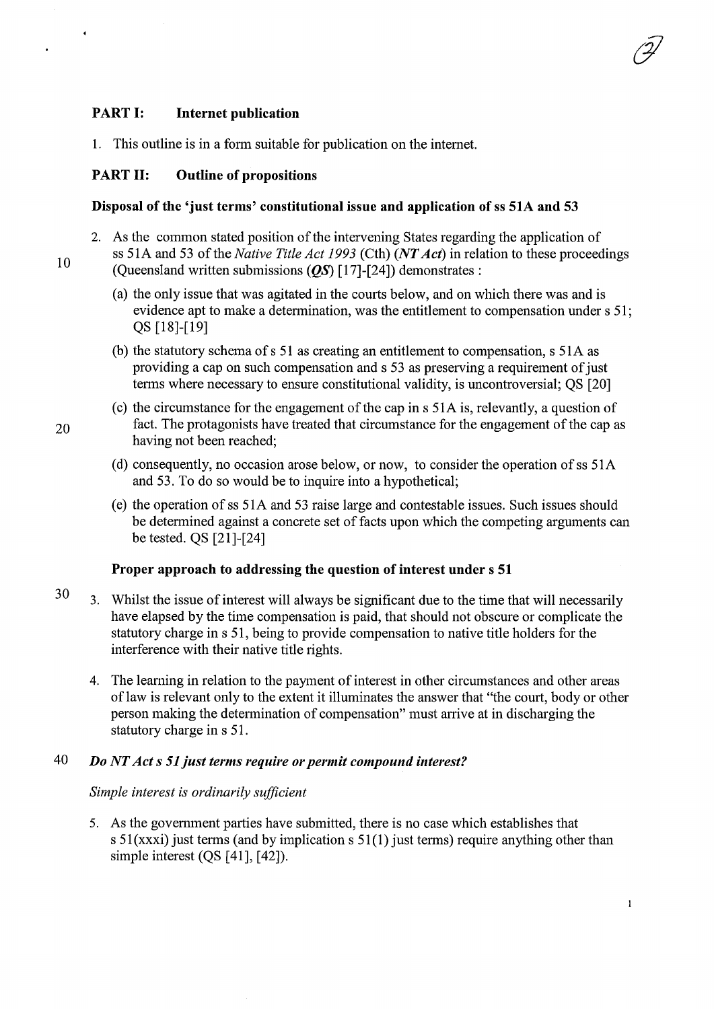## PART I: Internet publication

1. This outline is in a form suitable for publication on the internet.

### PART II: Outline of propositions

#### Disposal of the 'just terms' constitutional issue and application of ss 51A and 53

- 2. As the common stated position of the intervening States regarding the application of ss 51 A and 53 of the *Native Title Act 1993* (Cth) *(NT Act)* in relation to these proceedings (Queensland written submissions  $(QS)$  [17]-[24]) demonstrates :
	- (a) the only issue that was agitated in the courts below, and on which there was and is evidence apt to make a determination, was the entitlement to compensation under s 51; QS [18]-[19]
	- (b) the statutory schema of s 51 as creating an entitlement to compensation, s 51 A as providing a cap on such compensation and s 53 as preserving a requirement of just terms where necessary to ensure constitutional validity, is uncontroversial; QS [20]
- (c) the circumstance for the engagement of the cap ins 51A is, relevantly, a question of 20 fact. The protagonists have treated that circumstance for the engagement of the cap as having not been reached;
	- (d) consequently, no occasion arose below, or now, to consider the operation of ss 51 A and 53. To do so would be to inquire into a hypothetical;
	- (e) the operation of ss 51 A and 53 raise large and contestable issues. Such issues should be determined against a concrete set of facts upon which the competing arguments can be tested. QS [21]-[24]

#### Proper approach to addressing the question of interest under s 51

- 30 3. Whilst the issue of interest will always be significant due to the time that will necessarily have elapsed by the time compensation is paid, that should not obscure or complicate the statutory charge in s 51, being to provide compensation to native title holders for the interference with their native title rights.
	- 4. The learning in relation to the payment of interest in other circumstances and other areas of law is relevant only to the extent it illuminates the answer that "the court, body or other person making the detennination of compensation" must arrive at in discharging the statutory charge in s 51.

# 40 *Do NT Acts 51 just terms require or permit compound interest?*

### *Simple interest is ordinarily sufficient*

5. As the government parties have submitted, there is no case which establishes that s  $51(xxxi)$  just terms (and by implication s  $51(1)$  just terms) require anything other than simple interest (QS [41], [42]).

10

 $\ddot{\phantom{0}}$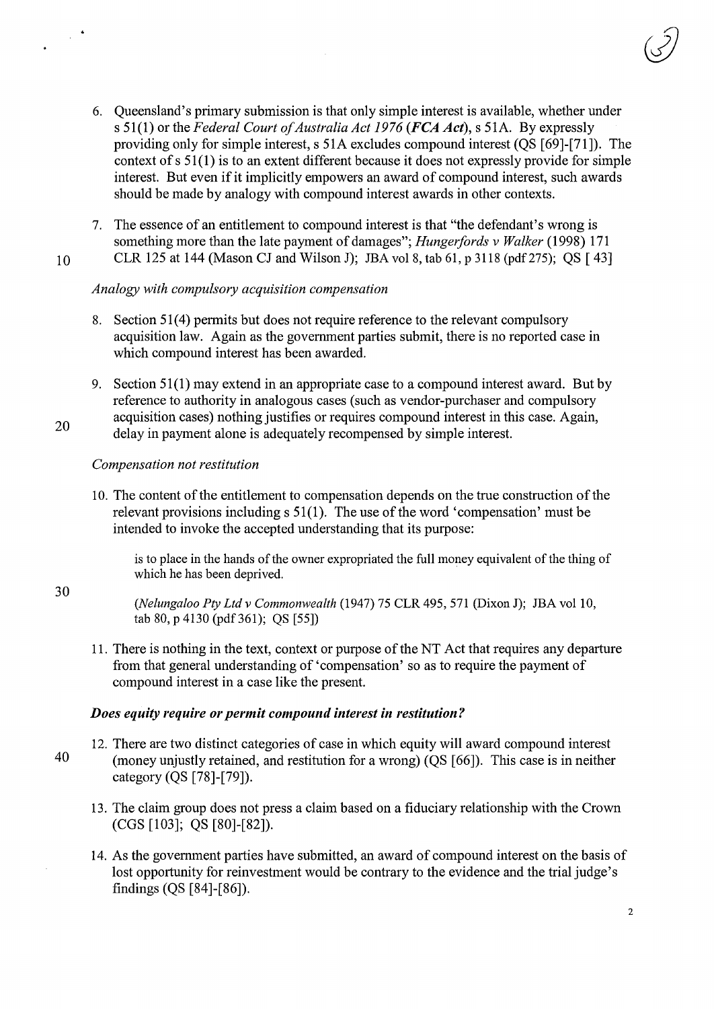- 6. Queensland's primary submission is that only simple interest is available, whether under s 51(1) or the *Federal Court of Australia Act 1976 (FCA Act),* s 51 A. By expressly providing only for simple interest, s 51A excludes compound interest (QS [69]-[71]). The context of s 51(1) is to an extent different because it does not expressly provide for simple interest. But even if it implicitly empowers an award of compound interest, such awards should be made by analogy with compound interest awards in other contexts.
- 7. The essence of an entitlement to compound interest is that "the defendant's wrong is something more than the late payment of damages"; *Hungerfords v Walker* (1998) 171 10 CLR 125 at 144 (Mason CJ and Wilson J); JBA vol8, tab 61, p 3118 (pdf275); QS [ 43]
	-

# *Analogy with compulsory acquisition compensation*

- 8. Section 51(4) permits but does not require reference to the relevant compulsory acquisition law. Again as the government parties submit, there is no reported case in which compound interest has been awarded.
- 9. Section 51(1) may extend in an appropriate case to a compound interest award. But by reference to authority in analogous cases (such as vendor-purchaser and compulsory acquisition cases) nothing justifies or requires compound interest in this case. Again, delay in payment alone is adequately recompensed by simple interest.

# *Compensation not restitution*

20

 $\sim 10^7$ 

30

10. The content of the entitlement to compensation depends on the true construction of the relevant provisions including s 51(1). The use of the word 'compensation' must be intended to invoke the accepted understanding that its purpose:

is to place in the hands of the owner expropriated the full money equivalent of the thing of which he has been deprived.

*(Nelungaloo Pty Ltd v Commonwealth* (1947) 75 CLR 495, 571 (Dixon J); JBA vol10, tab 80, p 4130 (pdf361); QS [55])

11. There is nothing in the text, context or purpose of the NT Act that requires any departure from that general understanding of 'compensation' so as to require the payment of compound interest in a case like the present.

# *Does equity require or permit compound interest in restitution?*

- 12. There are two distinct categories of case in which equity will award compound interest 40 (money unjustly retained, and restitution for a wrong) (QS [66]). This case is in neither category (QS [78]-[79]).
	- 13. The claim group does not press a claim based on a fiduciary relationship with the Crown (CGS [103]; QS [80]-[82]).
	- 14. As the government parties have submitted, an award of compound interest on the basis of lost opportunity for reinvestment would be contrary to the evidence and the trial judge's findings (QS [84]-[86]).